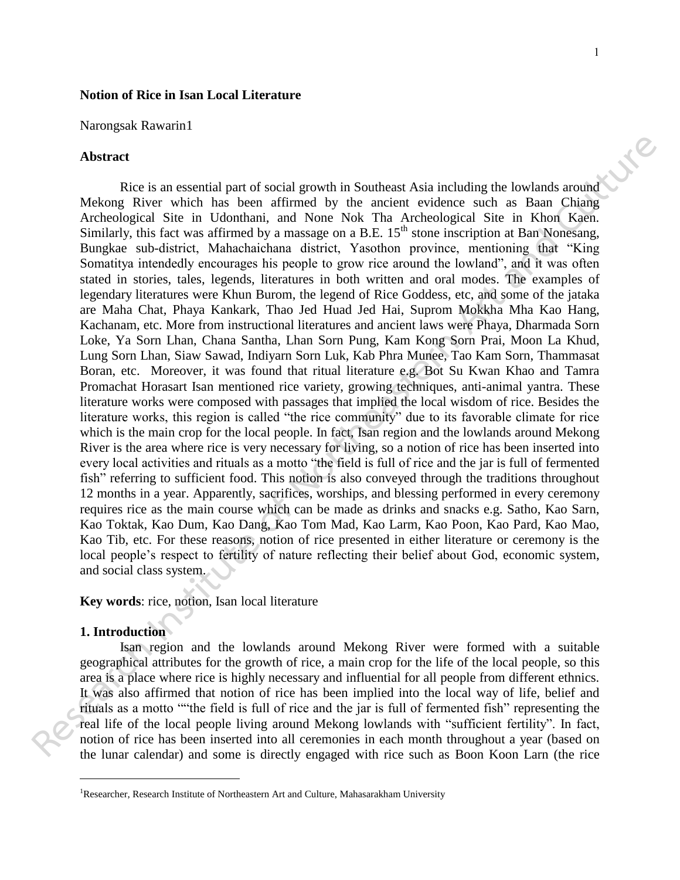### **Notion of Rice in Isan Local Literature**

Narongsak Rawarin1

### **Abstract**

Rice is an essential part of social growth in Southeast Asia including the lowlands around Mekong River which has been affirmed by the ancient evidence such as Baan Chiang Archeological Site in Udonthani, and None Nok Tha Archeological Site in Khon Kaen. Similarly, this fact was affirmed by a massage on a B.E.  $15<sup>th</sup>$  stone inscription at Ban Nonesang, Bungkae sub-district, Mahachaichana district, Yasothon province, mentioning that "King Somatitya intendedly encourages his people to grow rice around the lowland", and it was often stated in stories, tales, legends, literatures in both written and oral modes. The examples of legendary literatures were Khun Burom, the legend of Rice Goddess, etc, and some of the jataka are Maha Chat, Phaya Kankark, Thao Jed Huad Jed Hai, Suprom Mokkha Mha Kao Hang, Kachanam, etc. More from instructional literatures and ancient laws were Phaya, Dharmada Sorn Loke, Ya Sorn Lhan, Chana Santha, Lhan Sorn Pung, Kam Kong Sorn Prai, Moon La Khud, Lung Sorn Lhan, Siaw Sawad, Indiyarn Sorn Luk, Kab Phra Munee, Tao Kam Sorn, Thammasat Boran, etc. Moreover, it was found that ritual literature e.g. Bot Su Kwan Khao and Tamra Promachat Horasart Isan mentioned rice variety, growing techniques, anti-animal yantra. These literature works were composed with passages that implied the local wisdom of rice. Besides the literature works, this region is called "the rice community" due to its favorable climate for rice which is the main crop for the local people. In fact, Isan region and the lowlands around Mekong River is the area where rice is very necessary for living, so a notion of rice has been inserted into every local activities and rituals as a motto "the field is full of rice and the jar is full of fermented fish" referring to sufficient food. This notion is also conveyed through the traditions throughout 12 months in a year. Apparently, sacrifices, worships, and blessing performed in every ceremony requires rice as the main course which can be made as drinks and snacks e.g. Satho, Kao Sarn, Kao Toktak, Kao Dum, Kao Dang, Kao Tom Mad, Kao Larm, Kao Poon, Kao Pard, Kao Mao, Kao Tib, etc. For these reasons, notion of rice presented in either literature or ceremony is the local people's respect to fertility of nature reflecting their belief about God, economic system, and social class system. **Abstract**<br>**Reseivant Art and Southeast Asia including the lowlands around Motological Sie in Ethion Research as Basin China<br>
Motological Sie in Udoulation, and None Nok This Archeological Sie in Europhe<br>
Motological Sie i** 

**Key words**: rice, notion, Isan local literature

# **1. Introduction**

 $\overline{a}$ 

 Isan region and the lowlands around Mekong River were formed with a suitable geographical attributes for the growth of rice, a main crop for the life of the local people, so this area is a place where rice is highly necessary and influential for all people from different ethnics. It was also affirmed that notion of rice has been implied into the local way of life, belief and rituals as a motto ""the field is full of rice and the jar is full of fermented fish" representing the real life of the local people living around Mekong lowlands with "sufficient fertility". In fact, notion of rice has been inserted into all ceremonies in each month throughout a year (based on the lunar calendar) and some is directly engaged with rice such as Boon Koon Larn (the rice

<sup>&</sup>lt;sup>1</sup>Researcher, Research Institute of Northeastern Art and Culture, Mahasarakham University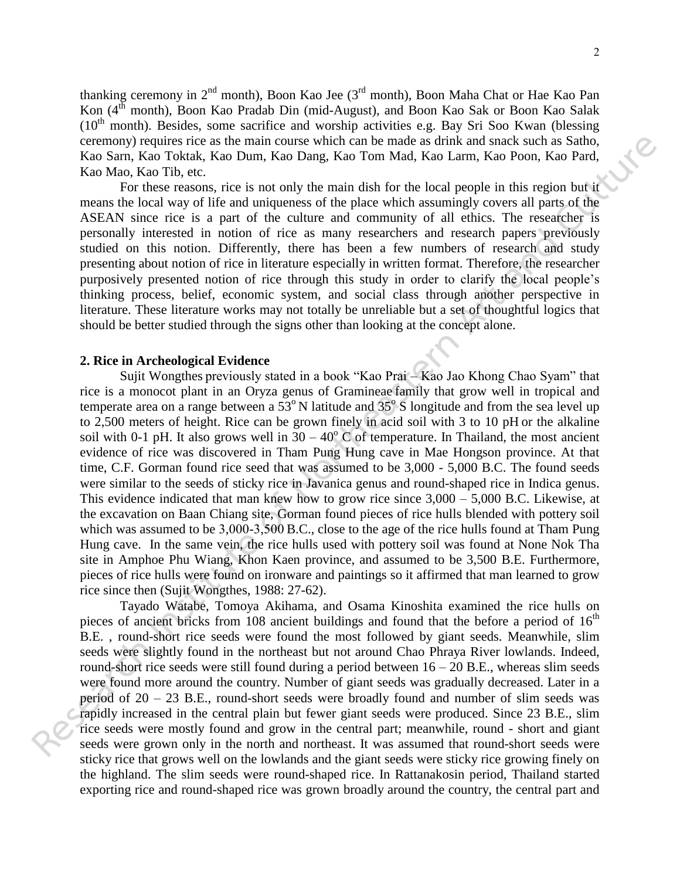thanking ceremony in 2<sup>nd</sup> month), Boon Kao Jee (3<sup>rd</sup> month), Boon Maha Chat or Hae Kao Pan Kon (4<sup>th</sup> month), Boon Kao Pradab Din (mid-August), and Boon Kao Sak or Boon Kao Salak  $(10<sup>th</sup>$  month). Besides, some sacrifice and worship activities e.g. Bay Sri Soo Kwan (blessing ceremony) requires rice as the main course which can be made as drink and snack such as Satho, Kao Sarn, Kao Toktak, Kao Dum, Kao Dang, Kao Tom Mad, Kao Larm, Kao Poon, Kao Pard, Kao Mao, Kao Tib, etc.

For these reasons, rice is not only the main dish for the local people in this region but it means the local way of life and uniqueness of the place which assumingly covers all parts of the ASEAN since rice is a part of the culture and community of all ethics. The researcher is personally interested in notion of rice as many researchers and research papers previously studied on this notion. Differently, there has been a few numbers of research and study presenting about notion of rice in literature especially in written format. Therefore, the researcher purposively presented notion of rice through this study in order to clarify the local people's thinking process, belief, economic system, and social class through another perspective in literature. These literature works may not totally be unreliable but a set of thoughtful logics that should be better studied through the signs other than looking at the concept alone.

## **2. Rice in Archeological Evidence**

Sujit Wongthes previously stated in a book "Kao Prai – Kao Jao Khong Chao Syam" that rice is a monocot plant in an Oryza genus of Gramineae family that grow well in tropical and temperate area on a range between a  $53^{\circ}$  N latitude and  $35^{\circ}$  S longitude and from the sea level up to 2,500 meters of height. Rice can be grown finely in acid soil with 3 to 10 pH or the alkaline soil with 0-1 pH. It also grows well in  $30 - 40^{\circ}$  C of temperature. In Thailand, the most ancient evidence of rice was discovered in Tham Pung Hung cave in Mae Hongson province. At that time, C.F. Gorman found rice seed that was assumed to be 3,000 - 5,000 B.C. The found seeds were similar to the seeds of sticky rice in Javanica genus and round-shaped rice in Indica genus. This evidence indicated that man knew how to grow rice since  $3,000 - 5,000$  B.C. Likewise, at the excavation on Baan Chiang site, Gorman found pieces of rice hulls blended with pottery soil which was assumed to be 3,000-3,500 B.C., close to the age of the rice hulls found at Tham Pung Hung cave. In the same vein, the rice hulls used with pottery soil was found at None Nok Tha site in Amphoe Phu Wiang, Khon Kaen province, and assumed to be 3,500 B.E. Furthermore, pieces of rice hulls were found on ironware and paintings so it affirmed that man learned to grow rice since then (Sujit Wongthes, 1988: 27-62). ecrementary) requires the as the main conservation to the main est driven and such as shown. Kso Total, Kso Total, Kso Total, Kso Total, Kso Total, Kso Total, Kso Total, Kso Total, Kso Total, Kso Total, Kso Total, Kso Tota

 Tayado Watabe, Tomoya Akihama, and Osama Kinoshita examined the rice hulls on pieces of ancient bricks from 108 ancient buildings and found that the before a period of  $16<sup>th</sup>$ B.E. , round-short rice seeds were found the most followed by giant seeds. Meanwhile, slim seeds were slightly found in the northeast but not around Chao Phraya River lowlands. Indeed, round-short rice seeds were still found during a period between  $16 - 20$  B.E., whereas slim seeds were found more around the country. Number of giant seeds was gradually decreased. Later in a period of 20 – 23 B.E., round-short seeds were broadly found and number of slim seeds was rapidly increased in the central plain but fewer giant seeds were produced. Since 23 B.E., slim rice seeds were mostly found and grow in the central part; meanwhile, round - short and giant seeds were grown only in the north and northeast. It was assumed that round-short seeds were sticky rice that grows well on the lowlands and the giant seeds were sticky rice growing finely on the highland. The slim seeds were round-shaped rice. In Rattanakosin period, Thailand started exporting rice and round-shaped rice was grown broadly around the country, the central part and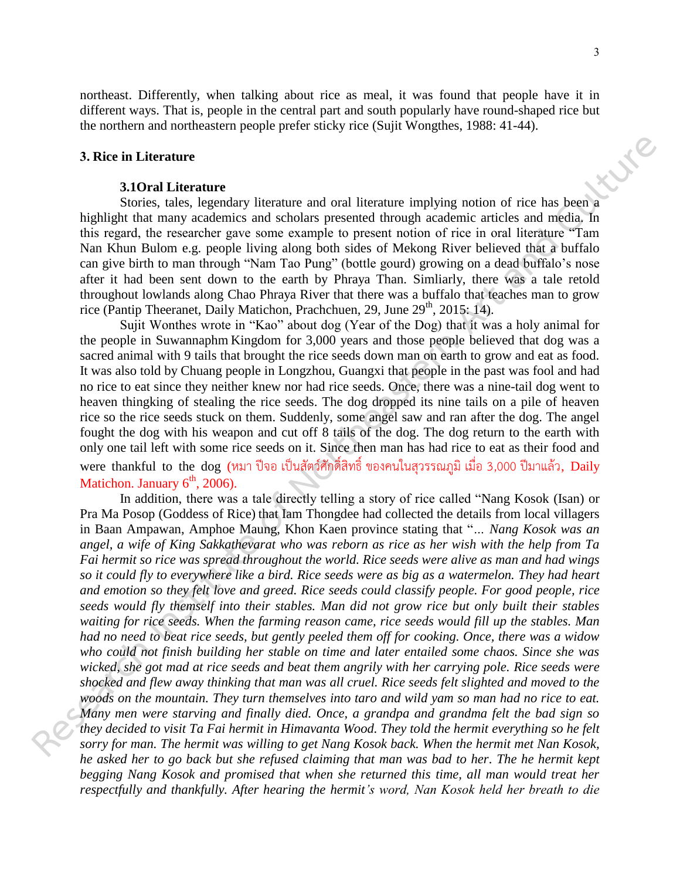northeast. Differently, when talking about rice as meal, it was found that people have it in different ways. That is, people in the central part and south popularly have round-shaped rice but the northern and northeastern people prefer sticky rice (Sujit Wongthes, 1988: 41-44).

# **3. Rice in Literature**

#### **3.1Oral Literature**

Stories, tales, legendary literature and oral literature implying notion of rice has been a highlight that many academics and scholars presented through academic articles and media. In this regard, the researcher gave some example to present notion of rice in oral literature "Tam Nan Khun Bulom e.g. people living along both sides of Mekong River believed that a buffalo can give birth to man through "Nam Tao Pung" (bottle gourd) growing on a dead buffalo's nose after it had been sent down to the earth by Phraya Than. Simliarly, there was a tale retold throughout lowlands along Chao Phraya River that there was a buffalo that teaches man to grow rice (Pantip Theeranet, Daily Matichon, Prachchuen, 29, June 29<sup>th</sup>, 2015: 14).

Sujit Wonthes wrote in "Kao" about dog (Year of the Dog) that it was a holy animal for the people in Suwannaphm Kingdom for 3,000 years and those people believed that dog was a sacred animal with 9 tails that brought the rice seeds down man on earth to grow and eat as food. It was also told by Chuang people in Longzhou, Guangxi that people in the past was fool and had no rice to eat since they neither knew nor had rice seeds. Once, there was a nine-tail dog went to heaven thingking of stealing the rice seeds. The dog dropped its nine tails on a pile of heaven rice so the rice seeds stuck on them. Suddenly, some angel saw and ran after the dog. The angel fought the dog with his weapon and cut off 8 tails of the dog. The dog return to the earth with only one tail left with some rice seeds on it. Since then man has had rice to eat as their food and were thankful to the dog (หมา ปีจอ เป็นสัตว์ศักดิ์สิทธิ์ ของคนในสุวรรณภูมิ เมื่อ 3,000 ปีมาแล้ว, Daily Matichon. January  $6<sup>th</sup>$ , 2006).

In addition, there was a tale directly telling a story of rice called "Nang Kosok (Isan) or Pra Ma Posop (Goddess of Rice) that Iam Thongdee had collected the details from local villagers in Baan Ampawan, Amphoe Maung, Khon Kaen province stating that "*… Nang Kosok was an angel, a wife of King Sakkathevarat who was reborn as rice as her wish with the help from Ta Fai hermit so rice was spread throughout the world. Rice seeds were alive as man and had wings so it could fly to everywhere like a bird. Rice seeds were as big as a watermelon. They had heart and emotion so they felt love and greed. Rice seeds could classify people. For good people, rice seeds would fly themself into their stables. Man did not grow rice but only built their stables waiting for rice seeds. When the farming reason came, rice seeds would fill up the stables. Man had no need to beat rice seeds, but gently peeled them off for cooking. Once, there was a widow who could not finish building her stable on time and later entailed some chaos. Since she was wicked, she got mad at rice seeds and beat them angrily with her carrying pole. Rice seeds were shocked and flew away thinking that man was all cruel. Rice seeds felt slighted and moved to the woods on the mountain. They turn themselves into taro and wild yam so man had no rice to eat. Many men were starving and finally died. Once, a grandpa and grandma felt the bad sign so they decided to visit Ta Fai hermit in Himavanta Wood. They told the hermit everything so he felt sorry for man. The hermit was willing to get Nang Kosok back. When the hermit met Nan Kosok, he asked her to go back but she refused claiming that man was bad to her. The he hermit kept begging Nang Kosok and promised that when she returned this time, all man would treat her respectfully and thankfully. After hearing the hermit's word, Nan Kosok held her breath to die*  **3. Rice in Literature**<br> **Moral Literature**<br> **Moral Literature**<br> **Research Institute of Northeastern Art and Culture implying notion of rice has been<br>
<b>Regarding the research gave some country are preserved through a calc**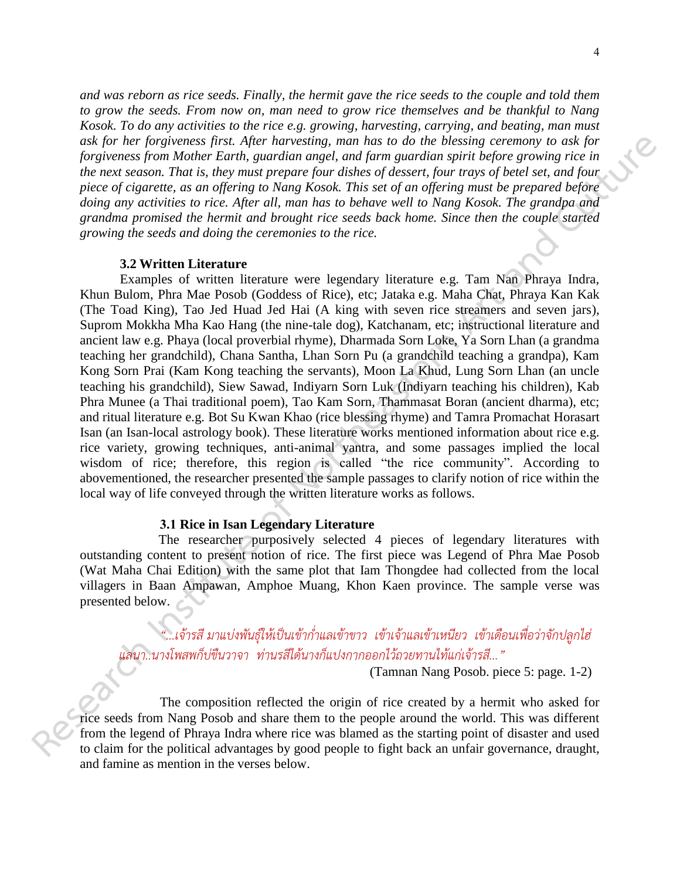*and was reborn as rice seeds. Finally, the hermit gave the rice seeds to the couple and told them to grow the seeds. From now on, man need to grow rice themselves and be thankful to Nang Kosok. To do any activities to the rice e.g. growing, harvesting, carrying, and beating, man must ask for her forgiveness first. After harvesting, man has to do the blessing ceremony to ask for forgiveness from Mother Earth, guardian angel, and farm guardian spirit before growing rice in the next season. That is, they must prepare four dishes of dessert, four trays of betel set, and four piece of cigarette, as an offering to Nang Kosok. This set of an offering must be prepared before doing any activities to rice. After all, man has to behave well to Nang Kosok. The grandpa and grandma promised the hermit and brought rice seeds back home. Since then the couple started growing the seeds and doing the ceremonies to the rice.*

## **3.2 Written Literature**

Examples of written literature were legendary literature e.g. Tam Nan Phraya Indra, Khun Bulom, Phra Mae Posob (Goddess of Rice), etc; Jataka e.g. Maha Chat, Phraya Kan Kak (The Toad King), Tao Jed Huad Jed Hai (A king with seven rice streamers and seven jars), Suprom Mokkha Mha Kao Hang (the nine-tale dog), Katchanam, etc; instructional literature and ancient law e.g. Phaya (local proverbial rhyme), Dharmada Sorn Loke, Ya Sorn Lhan (a grandma teaching her grandchild), Chana Santha, Lhan Sorn Pu (a grandchild teaching a grandpa), Kam Kong Sorn Prai (Kam Kong teaching the servants), Moon La Khud, Lung Sorn Lhan (an uncle teaching his grandchild), Siew Sawad, Indiyarn Sorn Luk (Indiyarn teaching his children), Kab Phra Munee (a Thai traditional poem), Tao Kam Sorn, Thammasat Boran (ancient dharma), etc; and ritual literature e.g. Bot Su Kwan Khao (rice blessing rhyme) and Tamra Promachat Horasart Isan (an Isan-local astrology book). These literature works mentioned information about rice e.g. rice variety, growing techniques, anti-animal yantra, and some passages implied the local wisdom of rice; therefore, this region is called "the rice community". According to abovementioned, the researcher presented the sample passages to clarify notion of rice within the local way of life conveyed through the written literature works as follows. **Institute of Northeast first. After harresting, men has to do the blessing ecremony to ask for the sind on those in the sind of the sind of the sind of the sind of the sind of the sind of the sind of the sind of the sind** 

# **3.1 Rice in Isan Legendary Literature**

The researcher purposively selected 4 pieces of legendary literatures with outstanding content to present notion of rice. The first piece was Legend of Phra Mae Posob (Wat Maha Chai Edition) with the same plot that Iam Thongdee had collected from the local villagers in Baan Ampawan, Amphoe Muang, Khon Kaen province. The sample verse was presented below.

*"...เจ้ารสี มาแบ่งพันธุ์ให้เป็นเข้าก่่าแลเข้าขาว เข้าเจ้าแลเข้าเหนียว เข้าเดือนเพื่อว่าจักปลูกไฮ่ แลนา..นางโพสพก็บ่ขืนวาจา ท่านรสีได้นางก็แปงกากออกไว้ถวยทานไท้แก่เจ้ารสี..."* 

(Tamnan Nang Posob. piece 5: page. 1-2)

The composition reflected the origin of rice created by a hermit who asked for rice seeds from Nang Posob and share them to the people around the world. This was different from the legend of Phraya Indra where rice was blamed as the starting point of disaster and used to claim for the political advantages by good people to fight back an unfair governance, draught, **RESERVANCE**<br> **RESERVANCE**<br> **RESERVANCE**<br> **RESERVANCE**<br> **RESERVANCE**<br> **RESERVANCE**<br> **RESERVANCE**<br> **RESERVANCE**<br> **RESERVANCE**<br> **RESERVANCE** and famine as mention in the verses below.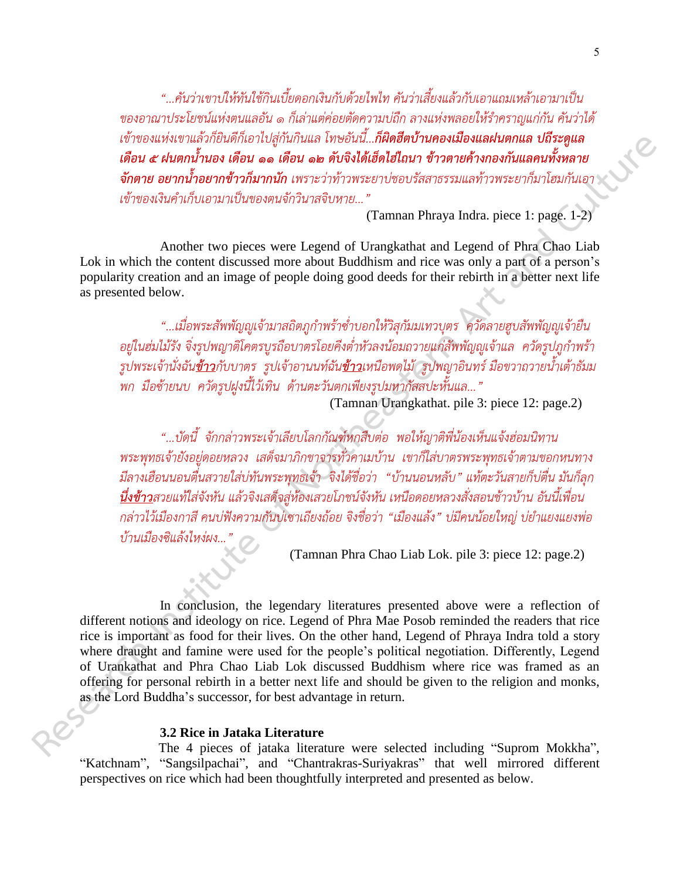*"...คันว่าเขาบ่ให้ทันใช้กินเบี้ยดอกเงินกับด้วยไพไท คันว่าเสี้ยงแล้วกับเอาแถมเหล้าเอามาเป็น ของอาณาประโยชน์แห่งตนแลอัน ๑ ก็เล่าแต่ค่อยตัดความบ่ถืก ลางแห่งพลอยให้ร่าคราญแก่กัน คันว่าได้ เข้าของแห่งเขาแล้วก็ยินดีก็เอาไปสู่กันกินแล โทษอันนี้...ก็ผิดฮีตบ้านคองเมืองแลฝนตกแล ปถีระดูแล เดือน ๕ ฝนตกน ้านอง เดือน ๑๑ เดือน ๑๒ ดับจิงได้เฮ็ดไฮ่ไถนา ข้าวตายค้างกองกันแลคนทั งหลาย จักตาย อยากน ้าอยากข้าวก็มากนัก เพราะว่าท้าวพระยาบ่ชอบรัสสาธรรมแลท้าวพระยาก็มาโฮมกันเอา เข้าของเงินค่าเก็บเอามาเป็นของตนจักวินาสจิบหาย..."*

(Tamnan Phraya Indra. piece 1: page. 1-2)

Another two pieces were Legend of Urangkathat and Legend of Phra Chao Liab Lok in which the content discussed more about Buddhism and rice was only a part of a person's popularity creation and an image of people doing good deeds for their rebirth in a better next life as presented below.

*"...เมื่อพระสัพพัญญูเจ้ามาสถิตภูก่าพร้าซ่่าบอกให้วิสุกัมมเทวบุตร ควัดลายฮูบสัพพัญญูเจ้ายืน อยู่ในฮ่มไม้รัง จิ่งรูปพญาติโคตรบูรถือบาตรโอยคีงต่่าหัวลงน้อมถวายแก่สัพพัญญูเจ้าแล ควัดรูปภูก่าพร้า รูปพระเจ้านั่งฉันข้าวกับบาตร รูปเจ้าอานนท์ฉันข้าวเหนือพดไม้ รูปพญาอินทร์ มือขวาถวายน้่าเต้าธัมม พก มือซ้ายนบ ควัดรูปฝูงนี้ไว้เทิน ด้านตะวันตกเพียงรูปมหากัสสปะหั้นแล..."* 

(Tamnan Urangkathat. pile 3: piece 12: page.2)

*"...บัดนี้ จักกล่าวพระเจ้าเลียบโลกกัณฑ์หกสืบต่อ พอให้ญาติพี่น้องเห็นแจ้งฮ่อมนิทาน พระพุทธเจ้ายังอยู่ดอยหลวง เสด็จมาภิกขาจารทั่วคาเมบ้าน เขาก็ใส่บาตรพระพุทธเจ้าตามขอกหนทาง มีลางเฮือนนอนตื่นสวายใส่บ่ทันพระพุทธเจ้า จิงได้ชื่อว่า "บ้านนอนหลับ" แท้ตะวันสายก็บ่ตื่น มันก็ลุก นึ่งข้าวสวยแท้ใส่จังหัน แล้วจิงเสด็จสู่ห้องเสวยโภชน์จังหัน เหนือดอยหลวงสั่งสอนช้าวบ้าน อันนี้เพื่อน กล่าวไว้เมืองกาสี คนบ่ฟังความกันบ่เซาเถียงถ้อย จิงชื่อว่า "เมืองแล้ง" บ่มีคนน้อยใหญ่ บ่ย่าแยงแยงพ่อ บ้านเมืองซิแล้งไหง่ผง..."*

(Tamnan Phra Chao Liab Lok. pile 3: piece 12: page.2)

In conclusion, the legendary literatures presented above were a reflection of different notions and ideology on rice. Legend of Phra Mae Posob reminded the readers that rice rice is important as food for their lives. On the other hand, Legend of Phraya Indra told a story where draught and famine were used for the people's political negotiation. Differently, Legend of Urankathat and Phra Chao Liab Lok discussed Buddhism where rice was framed as an offering for personal rebirth in a better next life and should be given to the religion and monks, as the Lord Buddha's successor, for best advantage in return. **Probabilitation** ( $R_{\text{H}}$ ) and  $R_{\text{H}}$  and  $R_{\text{H}}$  and  $R_{\text{H}}$  and  $R_{\text{H}}$  and  $R_{\text{H}}$  and  $R_{\text{H}}$  and  $R_{\text{H}}$  and  $R_{\text{H}}$  and  $R_{\text{H}}$  and  $R_{\text{H}}$  and  $R_{\text{H}}$  and  $R_{\text{H}}$  and  $R_{\text{H}}$  and  $R_{\text$ 

# **3.2 Rice in Jataka Literature**

The 4 pieces of jataka literature were selected including "Suprom Mokkha", "Katchnam", "Sangsilpachai", and "Chantrakras-Suriyakras" that well mirrored different perspectives on rice which had been thoughtfully interpreted and presented as below.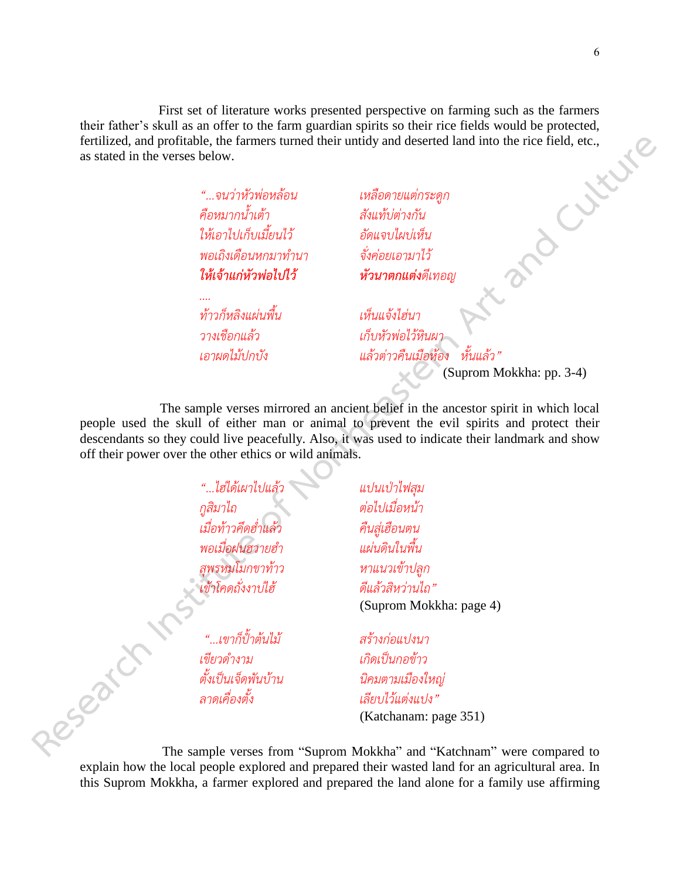First set of literature works presented perspective on farming such as the farmers<br>
kull as an offer to the farm guardian spirits so their rice fields would be protected,<br>
profitable, the farmers turned their untidy and d their father's skull as an offer to the farm guardian spirits so their rice fields would be protected, fertilized, and profitable, the farmers turned their untidy and deserted land into the rice field, etc., as stated in the verses below.

*"...จนว่าหัวพ่อหล้อน เหลือดายแต่กระดูก คือหมากน้่าเต้า สังแท้บ่ต่างกัน ให้เอาไปเก็บเมี้ยนไว้ อัดแจบไผบ่เห็น พอเถิงเดือนหกมาท่านา จั่งค่อยเอามาไว้ ให้เจ้าแก่หัวพ่อไปไว้ หัวนาตกแต่งดีเทอญ*

*ท้าวก็หลิงแผ่นพื้น เห็นแจ้งไฮ่นา*

*วางเชือกแล้ว เก็บหัวพ่อไว้หินผา เอาผดไม้ปกบัง แล้วต่าวคืนเมือห้อง หั้นแล้ว"*

(Suprom Mokkha: pp. 3-4)

The sample verses mirrored an ancient belief in the ancestor spirit in which local people used the skull of either man or animal to prevent the evil spirits and protect their descendants so they could live peacefully. Also, it was used to indicate their landmark and show off their power over the other ethics or wild animals. fertilized, and profiles the fermions turned their unitity and described had into the rice field, etc.<br>
as stated in the verse below,<br>  $\therefore$  stated stated and the stated and contractions<br>  $\therefore$  stated stated and Culture an

*"...ไฮ่ได้เผาไปแล้ว แปนเป่าไฟสุม กูสิมาไถ ต่อไปเมื่อหน้า เมื่อท้าวคึดฮ่่าแล้ว คืนสู่เฮือนตน พอเมื่อฝนฮวายฮ่า แผ่นดินในพื้น สุพรหมโมกขาท้าว หาแนวเข้าปลูก เข้าโคดถั่งงาบ่ไฮ้ ดีแล้วสิหว่านไถ"*

 *"...เขาก็ป ้าต้นไม้ สร้างก่อแปงนา เขียวด่างาม เกิดเป็นกอข้าว ลาดเคื่องตั้ง เลียบไว้แต่งแปง"*

(Suprom Mokkha: page 4)

*ตั้งเป็นเจ็ดพันบ้าน นิคมตามเมืองใหญ่*  (Katchanam: page 351)

The sample verses from "Suprom Mokkha" and "Katchnam" were compared to explain how the local people explored and prepared their wasted land for an agricultural area. In this Suprom Mokkha, a farmer explored and prepared the land alone for a family use affirming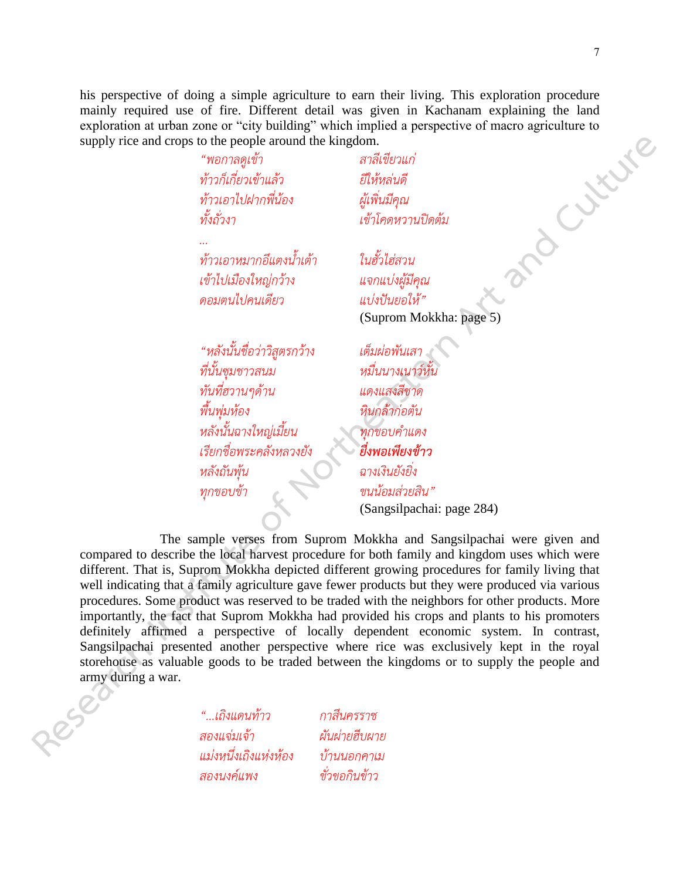his perspective of doing a simple agriculture to earn their living. This exploration procedure mainly required use of fire. Different detail was given in Kachanam explaining the land<br>exploration at urban zone or "city building" which implied a perspective of macro agriculture to<br>supply rice and crops to the people exploration at urban zone or "city building" which implied a perspective of macro agriculture to supply rice and crops to the people around the kingdom.

*"พอกาลดูเข้า สาลีเขียวแก่ ท้าวก็เกี่ยวเข้าแล้ว ยีให้หล่นดี ท้าวเอาไปฝากพี่น้อง ผู้เพิ่นมีคุณ ทั้งถั่วงา เข้าโคดหวานปิดต้ม*

*...*

*ท้าวเอาหมากอึแตงน้่าเต้า ในฮั้วไฮ่สวน เข้าไปเมืองใหญ่กว้าง แจกแบ่งผู้มีคุณ ดอมตนไปคนเดียว แบ่งปันยอให้"*

(Suprom Mokkha: page 5)

*"หลังนั้นชื่อว่าวิสูตรกว้าง เต็มผ่อพันเสา ที่นั้นซุมชาวสนม หมื่นนางเนาว์หั้น ทันที่ฮวานๆด้าน แดงแสงสีชาด พื้นพุ่มห้อง หินกล้าก่อตัน หลังนั้นฉางใหญ่เมี้ยน ทุกขอบค่าแดง เรียกชื่อพระคลังหลวงยัง ยื่งพอเพียงข้าว หลังถันพุ้น ฉางเงินยังยิ่ง ทุกขอบข้า ขนน้อมส่วยสิน"*

(Sangsilpachai: page 284)

The sample verses from Suprom Mokkha and Sangsilpachai were given and compared to describe the local harvest procedure for both family and kingdom uses which were different. That is, Suprom Mokkha depicted different growing procedures for family living that well indicating that a family agriculture gave fewer products but they were produced via various procedures. Some product was reserved to be traded with the neighbors for other products. More importantly, the fact that Suprom Mokkha had provided his crops and plants to his promoters definitely affirmed a perspective of locally dependent economic system. In contrast, Sangsilpachai presented another perspective where rice was exclusively kept in the royal storehouse as valuable goods to be traded between the kingdoms or to supply the people and army during a war. **Respective conditional of the propries and the propries of**  $\hat{R}$  **and**  $\hat{R}$  **and**  $\hat{R}$  **and**  $\hat{R}$  **and**  $\hat{R}$  **and**  $\hat{R}$  **and**  $\hat{R}$  **and**  $\hat{R}$  **and**  $\hat{R}$  **and**  $\hat{R}$  **and**  $\hat{R}$  **and**  $\hat{R}$  **and**  $\hat{R}$  **and \hat{R** 

*"...เถิงแดนท้าว กาสีนครราช สองแจ่มเจ้า ผันผ่ายฮีบผาย แม่งหนึ่งเถิงแห่งห้อง บ้านนอกคาเม สองนงค์แพง ขั่วขอกินข้าว*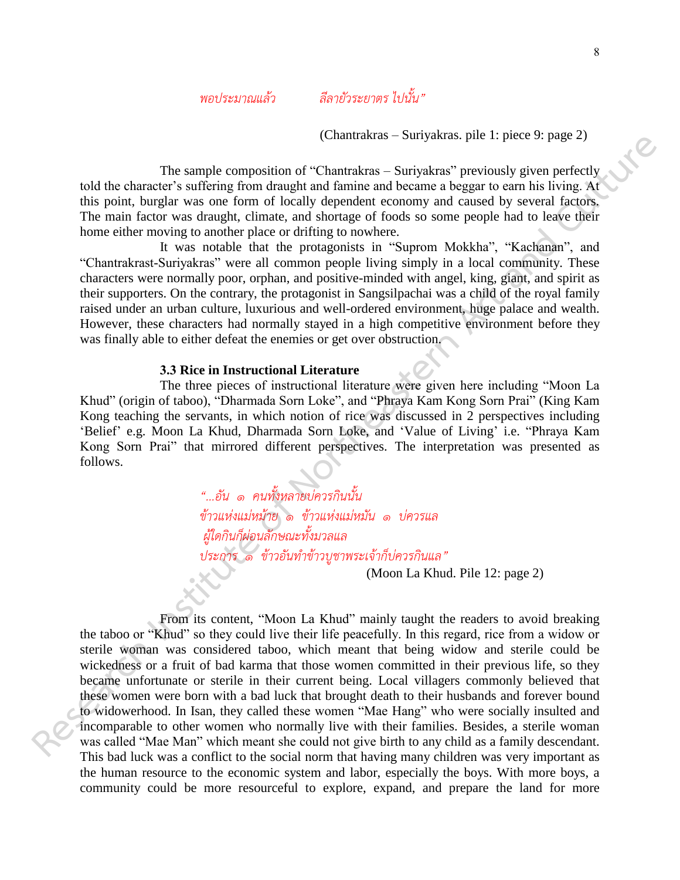*พอประมาณแล้ว ลีลายัวระยาตร ไปนั้น"*

(Chantrakras – Suriyakras. pile 1: piece 9: page 2)

 The sample composition of "Chantrakras – Suriyakras" previously given perfectly told the character's suffering from draught and famine and became a beggar to earn his living. At this point, burglar was one form of locally dependent economy and caused by several factors. The main factor was draught, climate, and shortage of foods so some people had to leave their home either moving to another place or drifting to nowhere.

 It was notable that the protagonists in "Suprom Mokkha", "Kachanan", and "Chantrakrast-Suriyakras" were all common people living simply in a local community. These characters were normally poor, orphan, and positive-minded with angel, king, giant, and spirit as their supporters. On the contrary, the protagonist in Sangsilpachai was a child of the royal family raised under an urban culture, luxurious and well-ordered environment, huge palace and wealth. However, these characters had normally stayed in a high competitive environment before they was finally able to either defeat the enemies or get over obstruction.

### **3.3 Rice in Instructional Literature**

The three pieces of instructional literature were given here including "Moon La Khud" (origin of taboo), "Dharmada Sorn Loke", and "Phraya Kam Kong Sorn Prai" (King Kam Kong teaching the servants, in which notion of rice was discussed in 2 perspectives including 'Belief' e.g. Moon La Khud, Dharmada Sorn Loke, and 'Value of Living' i.e. "Phraya Kam Kong Sorn Prai" that mirrored different perspectives. The interpretation was presented as follows.

> *"...อัน ๑ คนทั้งหลายบ่ควรกินนั้น ข้าวแห่งแม่หม้าย ๑ ข้าวแห่งแม่หมัน ๑ บ่ควรแล ผู้ใดกินก็ผ่อนลักษณะทั้งมวลแล ประการ ๑ ข้าวอันท่าข้าวบูชาพระเจ้าก็บ่ควรกินแล"*

(Moon La Khud. Pile 12: page 2)

From its content, "Moon La Khud" mainly taught the readers to avoid breaking the taboo or "Khud" so they could live their life peacefully. In this regard, rice from a widow or sterile woman was considered taboo, which meant that being widow and sterile could be wickedness or a fruit of bad karma that those women committed in their previous life, so they became unfortunate or sterile in their current being. Local villagers commonly believed that these women were born with a bad luck that brought death to their husbands and forever bound to widowerhood. In Isan, they called these women "Mae Hang" who were socially insulted and incomparable to other women who normally live with their families. Besides, a sterile woman was called "Mae Man" which meant she could not give birth to any child as a family descendant. This bad luck was a conflict to the social norm that having many children was very important as the human resource to the economic system and labor, especially the boys. With more boys, a community could be more resourceful to explore, expand, and prepare the land for more **Research insternal Control (Commutation** - Survanishing the representation of the complete of the particle of the particle of the particle of the particle of the particle of the particle of the particle of the particle o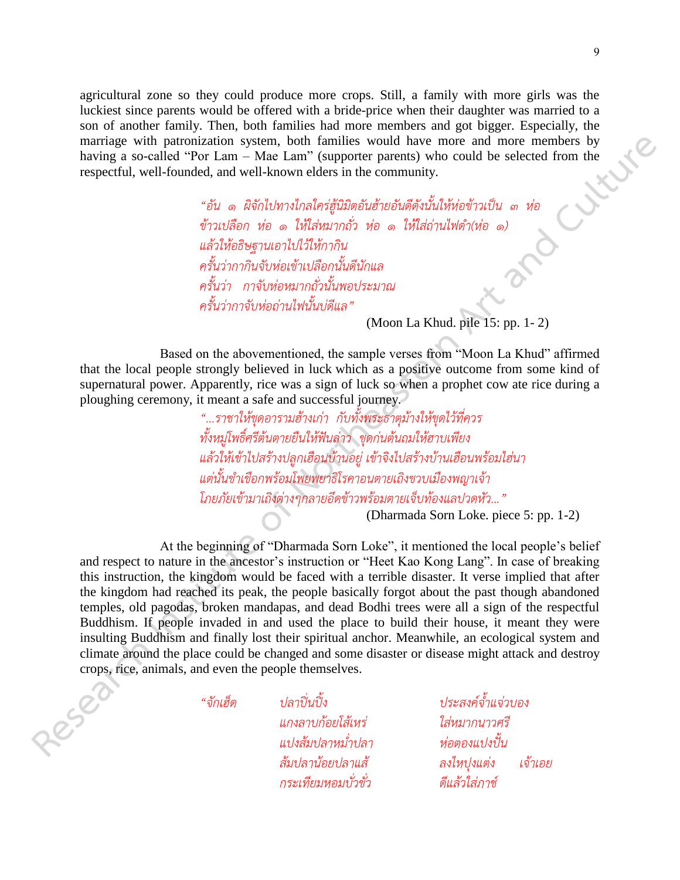agricultural zone so they could produce more crops. Still, a family with more girls was the luckiest since parents would be offered with a bride-price when their daughter was married to a son of another family. Then, both families had more members and got bigger. Especially, the marriage with patronization system, both families would have more and more members by having a so-called "Por Lam – Mae Lam" (sup marriage with patronization system, both families would have more and more members by having a so-called "Por Lam – Mae Lam" (supporter parents) who could be selected from the respectful, well-founded, and well-known elders in the community.

*"อัน ๑ ผิจักไปทางไกลใคร่ฮู้นิมิตอันฮ้ายอันดีดังนั้นให้ห่อข้าวเป็น ๓ ห่อ ข้าวเปลือก ห่อ ๑ ให้ใส่หมากถั่ว ห่อ ๑ ให้ใส่ถ่านไฟด่า(ห่อ ๑) แล้วให้อธิษฐานเอาไปไว้ให้กากิน ครั้นว่ากากินจับห่อเข้าเปลือกนั้นดีนักแล ครั้นว่า กาจับห่อหมากถั่วนั้นพอประมาณ ครั้นว่ากาจับห่อถ่านไฟนั้นบ่ดีแล"* 

(Moon La Khud. pile 15: pp. 1- 2)

Based on the abovementioned, the sample verses from "Moon La Khud" affirmed that the local people strongly believed in luck which as a positive outcome from some kind of supernatural power. Apparently, rice was a sign of luck so when a prophet cow ate rice during a ploughing ceremony, it meant a safe and successful journey.

> *"...ราชาให้ขุดอารามฮ้างเก่า กับทั้งพระธาตุม้างให้ขุดไว้ที่ควร ทั้งหมู่โพธิ์ศรีต้นตายยืนให้ฟันล่าว ขุดก่นต้นถมให้ฮาบเพียง แล้วให้เข้าไปสร้างปลูกเฮือนบ้านอยู่ เข้าจิงไปสร้างบ้านเฮือนพร้อมไฮ่นา แต่นั้นข่าเขือกพร้อมโพยพยาธิโรคาอนตายเถิงขวบเมืองพญาเจ้า โภยภัยเข้ามาเถิงต่างๆกลายอึดข้าวพร้อมตายเจ็บท้องแลปวดหัว..."*

(Dharmada Sorn Loke. piece 5: pp. 1-2)

At the beginning of "Dharmada Sorn Loke", it mentioned the local people's belief and respect to nature in the ancestor's instruction or "Heet Kao Kong Lang". In case of breaking this instruction, the kingdom would be faced with a terrible disaster. It verse implied that after the kingdom had reached its peak, the people basically forgot about the past though abandoned temples, old pagodas, broken mandapas, and dead Bodhi trees were all a sign of the respectful Buddhism. If people invaded in and used the place to build their house, it meant they were insulting Buddhism and finally lost their spiritual anchor. Meanwhile, an ecological system and climate around the place could be changed and some disaster or disease might attack and destroy crops, rice, animals, and even the people themselves. **Research and the matrix and the set of the set of Northeastern Art and the set of Northeastern Art and The Section 11 and the set of Northeastern Art and Art and Art and Art and Art and Art and Art and Art and Art and Ar** 

*แกงลาบก้อยโส้เหร่ ใส่หมากนาวศรี แปงส้มปลาหม่่าปลา ห่อตองแปงปั น กระเทียมหอมบั่วขั่ว ดีแล้วใส่ภาช์*

*"จักเฮ็ด ปลาปิ่นปิ ง ประสงค์จ้่าแจ่วบอง ส้มปลาน้อยปลาแส้ ลงไหปุงแต่ง เจ้าเอย*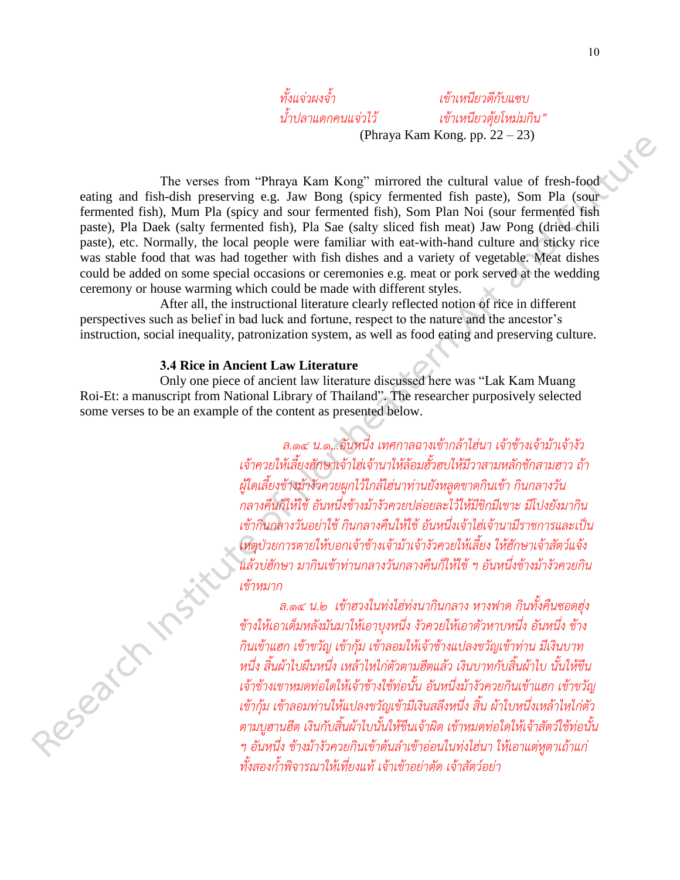*ทั้งแจ่วผงจ้่า เข้าเหนียวดีกับแซบ*

*น้่าปลาแดกคนแจ่วไว้ เข้าเหนียวตุ้ยโหม่มกิน"* (Phraya Kam Kong. pp. 22 – 23)

The verses from "Phraya Kam Kong" mirrored the cultural value of fresh-food eating and fish-dish preserving e.g. Jaw Bong (spicy fermented fish paste), Som Pla (sour fermented fish), Mum Pla (spicy and sour fermented fish), Som Plan Noi (sour fermented fish paste), Pla Daek (salty fermented fish), Pla Sae (salty sliced fish meat) Jaw Pong (dried chili paste), etc. Normally, the local people were familiar with eat-with-hand culture and sticky rice was stable food that was had together with fish dishes and a variety of vegetable. Meat dishes could be added on some special occasions or ceremonies e.g. meat or pork served at the wedding ceremony or house warming which could be made with different styles. **The verses from "Phason Kan Kong"** internal while  $p_1(z, z = z_0)$ <br>
certifug and fiel-dish preserving e.g. Jaw Research (resp. formulate value of fresh-food<br>
fermented fish). Note that Northeastern Art and the Culture Pick

 After all, the instructional literature clearly reflected notion of rice in different perspectives such as belief in bad luck and fortune, respect to the nature and the ancestor's instruction, social inequality, patronization system, as well as food eating and preserving culture.

# **3.4 Rice in Ancient Law Literature**

Only one piece of ancient law literature discussed here was "Lak Kam Muang Roi-Et: a manuscript from National Library of Thailand". The researcher purposively selected some verses to be an example of the content as presented below.

> *ล.๑๔ น.๑...อันหนึ่ง เทศกาลฉางเข้ากล้าไฮ่นา เจ้าช้างเจ้าม้าเจ้างัว เจ้าควยให้เลี้ยงฮักษาเจ้าไฮ่เจ้านาให้ล้อมฮั้วฮบให้มีวาสามหลักชักสามฮาว ถ้า ผู้ใดเลี้ยงช้างม้างัวควยผูกไว้ใกล้ไฮ่นาท่านยังหลูดขาดกินเข้า กินกลางวัน กลางคืนก็ให้ใช้ อันหนึ่งช้างม้างัวควยปล่อยละไว้ให้มีขิกมีเขาะ มีโปงยังมากิน เข้ากินกลางวันอย่าใช้ กินกลางคืนให้ใช้ อันหนึ่งเจ้าไฮ่เจ้านามีราชการและเป็น เหตุป่วยการตายให้บอกเจ้าช้างเจ้าม้าเจ้างัวควยให้เลี้ยง ให้ฮักษาเจ้าสัตว์แจ้ง แล้วบ่ฮักษา มากินเข้าท่านกลางวันกลางคืนก็ให้ใช้ ฯ อันหนึ่งช้างม้างัวควยกิน เข้าหมาก*

*ล.๑๔ น.๒ เข้าฮวงในท่งไฮ่ท่งนากินกลาง หางฟาด กินทั้งคืนซอดฮุ่ง ช้างให้เอาเต็มหลังมันมาให้เอาบุงหนึ่ง งัวควยให้เอาตัวหาบหนึ่ง อันหนึ่ง ช้าง กินเข้าแฮก เข้าขวัญ เข้ากุ้ม เข้าลอมให้เจ้าช้างแปลงขวัญเข้าท่าน มีเงินบาท หนึ่ง สิ้นผ้าไบผืนหนึ่ง เหล้าไหไก่ตัวตามฮีตแล้ว เงินบาทกับสิ้นผ้าไบ นั้นให้ขืน เจ้าช้างเขาหมดท่อใดให้เจ้าช้างใช้ท่อนั้น อันหนึ่งม้างัวควยกินเข้าแฮก เข้าขวัญ เข้ากุ้ม เข้าลอมท่านให้แปลงขวัญเข้ามีเงินสลึงหนึ่ง สิ้น ผ้าใบหนึ่งเหล้าไหไก่ตัว ตามบูฮานฮีต เงินกับสิ้นผ้าไบนั้นให้ขืนเจ้าผิด เข้าหมดท่อใดให้เจ้าสัตว์ใช้ท่อนั้น ฯ อันหนึ่ง ช้างม้างัวควยกินเข้าต้นล่าเข้าอ่อนในท่งไฮ่นา ให้เอาแต่หูตาเถ้าแก่ ทั้งสองก้่าพิจารณาให้เที่ยงแท้ เจ้าเข้าอย่าตัด เจ้าสัตว์อย่า*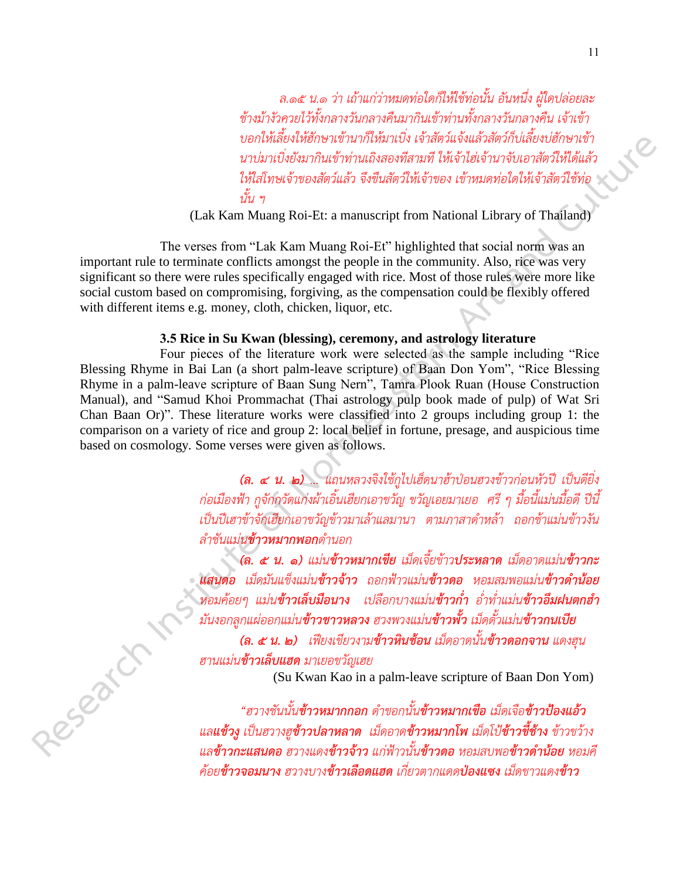*ล.๑๕ น.๑ ว่า เถ้าแก่ว่าหมดท่อใดก็ให้ใช้ท่อนั้น อันหนึ่ง ผู้ใดปล่อยละ ช้างม้างัวควยไว้ทั้งกลางวันกลางคืนมากินเข้าท่านทั้งกลางวันกลางคืน เจ้าเข้า บอกให้เลี้ยงให้ฮักษาเข้านาก็ให้มาเบิ่ง เจ้าสัตว์แจ้งแล้วสัตว์ก็บ่เลี้ยงบ่ฮักษาเข้า นาบ่มาเบิ่งยังมากินเข้าท่านเถิงสองทีสามที ให้เจ้าไฮ่เจ้านาจับเอาสัตว์ให้ได้แล้ว ให้ใส่โทษเจ้าของสัตว์แล้ว จึงขืนสัตว์ให้เจ้าของ เข้าหมดท่อใดให้เจ้าสัตว์ใช้ท่อ นั้น ฯ*

(Lak Kam Muang Roi-Et: a manuscript from National Library of Thailand)

The verses from "Lak Kam Muang Roi-Et" highlighted that social norm was an important rule to terminate conflicts amongst the people in the community. Also, rice was very significant so there were rules specifically engaged with rice. Most of those rules were more like social custom based on compromising, forgiving, as the compensation could be flexibly offered with different items e.g. money, cloth, chicken, liquor, etc.

# **3.5 Rice in Su Kwan (blessing), ceremony, and astrology literature**

Four pieces of the literature work were selected as the sample including "Rice Blessing Rhyme in Bai Lan (a short palm-leave scripture) of Baan Don Yom", "Rice Blessing Rhyme in a palm-leave scripture of Baan Sung Nern", Tamra Plook Ruan (House Construction Manual), and "Samud Khoi Prommachat (Thai astrology pulp book made of pulp) of Wat Sri Chan Baan Or)". These literature works were classified into 2 groups including group 1: the comparison on a variety of rice and group 2: local belief in fortune, presage, and auspicious time based on cosmology. Some verses were given as follows. **Examples the model of Example of The Art and Culture Constrained Proposition Constrained Culture of The Culture of The Culture of The Culture of The Culture of The Culture of The Culture of The Culture of The Culture of** 

*(ล. ๔ น. ๒) ... แถนหลวงจิงใช้กูไปเฮ็ดนาฮ้าป่อนฮวงข้าวก่อนหัวปี เป็นดียิ่ง ก่อเมืองฟ้า กูจักกวัดแก่งผ้าเอิ้นเฮียกเอาขวัญ ขวัญเอยมาเยอ ศรี ๆ มื้อนี้แม่นมื้อดี ปีนี้ เป็นปีเฮาข้าจักเฮียกเอาขวัญข้าวมาเล้าแลมานา ตามภาสาด่าหล้า ถอกช้าแม่นข้าวงัน ล่าชันแม่นข้าวหมากพอกด่านอก*

*(ล. ๕ น. ๑) แม่นข้าวหมากเขีย เม็ดเจี้ยข้าวประหลาด เม็ดอาดแม่นข้าวกะ แสนดอ เม็ดมันแข็งแม่นข้าวจ้าว ถอกฟ้าวแม่นข้าวดอ หอมสมพอแม่นข้าวด้าน้อย หอมค้อยๆ แม่นข้าวเล็บมือนาง เปลือกบางแม่นข้าวก่้า อ่่าท่่าแม่นข้าวอึมฝนตกฮ้า มันงอกลูกแผ่ออกแม่นข้าวขาวหลวง ฮวงพวงแม่นข้าวพั ว เม็ดดั้วแม่นข้าวกนเบีย*

*(ล. ๕ น. ๒) เฟียงเขียวงามข้าวหินช้อน เม็ดอาดนั้นข้าวดอกจาน แดงฮุน ฮานแม่นข้าวเล็บแฮด มาเยอขวัญเฮย*

(Su Kwan Kao in a palm-leave scripture of Baan Don Yom)

*"ฮวางชันนั้นข้าวหมากกอก ด่าขอกนั้นข้าวหมากเขือ เม็ดเจือข้าวป้องแอ้ว แลแข้วงู เป็นฮวางฮูข้าวปลาหลาด เม็ดอาดข้าวหมากโพ เม็ดโป้ข้าวขี ช้าง ข้าวขว้าง แลข้าวกะแสนดอ ฮวางแดงข้าวจ้าว แก่ฟ้าวนั้นข้าวดอ หอมสบพอข้าวด้าน้อย หอมคี ค้อยข้าวจอมนาง ฮวางบางข้าวเลือดแฮด เกี่ยวตากแดดป่องแซง เม็ดขาวแดงข้าว*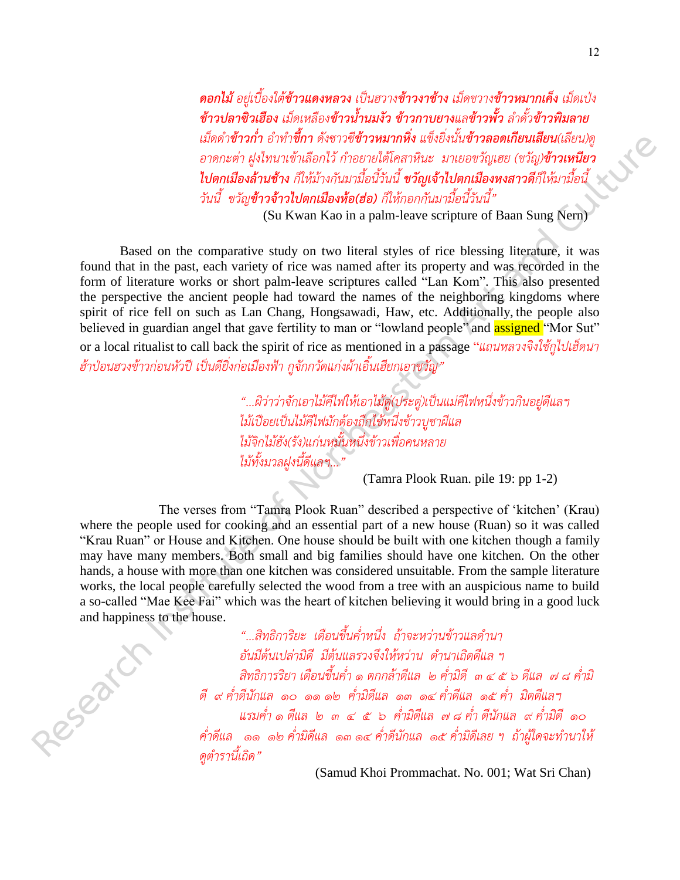*ดอกไม้ อยู่เบื้องใต้ข้าวแดงหลวง เป็นฮวางข้าวงาช้าง เม็ดขวางข้าวหมากเค็ง เม็ดเป่ง ข้าวปลาซิวเฮือง เม็ดเหลืองข้าวน้ำนมงัว ข้าวกาบยางแลข้าวพั้ว ลำดั้วข้าวพิมลาย เม็ดด่าข้าวก่้า อ่าท่าขี กา ดังซาวซีข้าวหมากหิ่ง แข็งยิ่งนั้นข้าวลอดเกียนเสียน(เลียน)ดู อาดกะต่า ฝูงไทนาเข้าเลือกไว้ ก่าอยายใต้โคสาหินะ มาเยอขวัญเฮย (ขวัญ)ข้าวเหนียว ไปตกเมืองล้านช้าง ก็ให้ม้างกันมามื้อนี้วันนี้ ขวัญเจ้าไปตกเมืองหงสาวดีก็ให้มามื้อนี้ วันนี้ ขวัญข้าวจ้าวไปตกเมืองห้อ(ฮ่อ) ก็ให้กอกกันมามื้อนี้วันนี้"*

(Su Kwan Kao in a palm-leave scripture of Baan Sung Nern)

Based on the comparative study on two literal styles of rice blessing literature, it was found that in the past, each variety of rice was named after its property and was recorded in the form of literature works or short palm-leave scriptures called "Lan Kom". This also presented the perspective the ancient people had toward the names of the neighboring kingdoms where spirit of rice fell on such as Lan Chang, Hongsawadi, Haw, etc. Additionally, the people also believed in guardian angel that gave fertility to man or "lowland people" and **assigned** "Mor Sut" or a local ritualist to call back the spirit of rice as mentioned in a passage "*แถนหลวงจิงใช้กูไปเฮ็ดนา ฮ้าป่อนฮวงข้าวก่อนหัวปี เป็นดียิ่งก่อเมืองฟ้า กูจักกวัดแก่งผ้าเอิ้นเฮียกเอาขวัญ"* **EXAMPED EXAMPED ART and CULTURE SET (1997)** and Constant Culture of Northeastern Art and Culture of Northeastern Art and Culture of Northeastern Art and Culture of Northeastern Art and Culture of Northeastern Art and Cul

*"...ผิว่าว่าจักเอาไม้คีไฟให้เอาไม้ดู่(ประดู่)เป็นแม่คีไฟหนึ่งข้าวกินอยู่ดีแลฯ ไม้เปือยเป็นไม้คีไฟมักต้องถืกไข้หนึ่งข้าวบูชาผีแล ไม้จิกไม้ฮัง(รัง)แก่นหมั้นหนึ่งข้าวเพื่อคนหลาย ไม้ทั้งมวลฝูงนี้ดีแลฯ..."*

(Tamra Plook Ruan. pile 19: pp 1-2)

The verses from "Tamra Plook Ruan" described a perspective of 'kitchen' (Krau) where the people used for cooking and an essential part of a new house (Ruan) so it was called "Krau Ruan" or House and Kitchen. One house should be built with one kitchen though a family may have many members. Both small and big families should have one kitchen. On the other hands, a house with more than one kitchen was considered unsuitable. From the sample literature works, the local people carefully selected the wood from a tree with an auspicious name to build a so-called "Mae Kee Fai" which was the heart of kitchen believing it would bring in a good luck and happiness to the house.

*"...สิทธิการิยะ เดือนขึ้นค่่าหนึ่ง ถ้าจะหว่านข้าวแลด่านา อันมีต้นเปล่ามิดี มีต้นแลรวงจึงให้หว่าน ด่านาเถิดดีแล ฯ สิทธิการริยา เดือนขึ้นค่่า ๑ ตกกล้าดีแล ๒ ค่่ามิดี ๓ ๔ ๕ ๖ ดีแล ๗ ๘ ค่่ามิ ดี ๙ ค่่าดีนักแล ๑๐ ๑๑ ๑๒ ค่่ามิดีแล ๑๓ ๑๔ ค่่าดีแล ๑๕ ค่่า มิดดีแลฯ แรมค่่า ๑ ดีแล ๒ ๓ ๔ ๕ ๖ ค่่ามิดีแล ๗ ๘ ค่่า ดีนักแล ๙ ค่่ามิดี ๑๐ ค่่าดีแล ๑๑ ๑๒ ค่่ามิดีแล ๑๓ ๑๔ ค่่าดีนักแล ๑๕ ค่่ามิดีเลย ฯ ถ้าผู้ใดจะท่านาให้ ดูต่ารานี้เถิด"*

(Samud Khoi Prommachat. No. 001; Wat Sri Chan)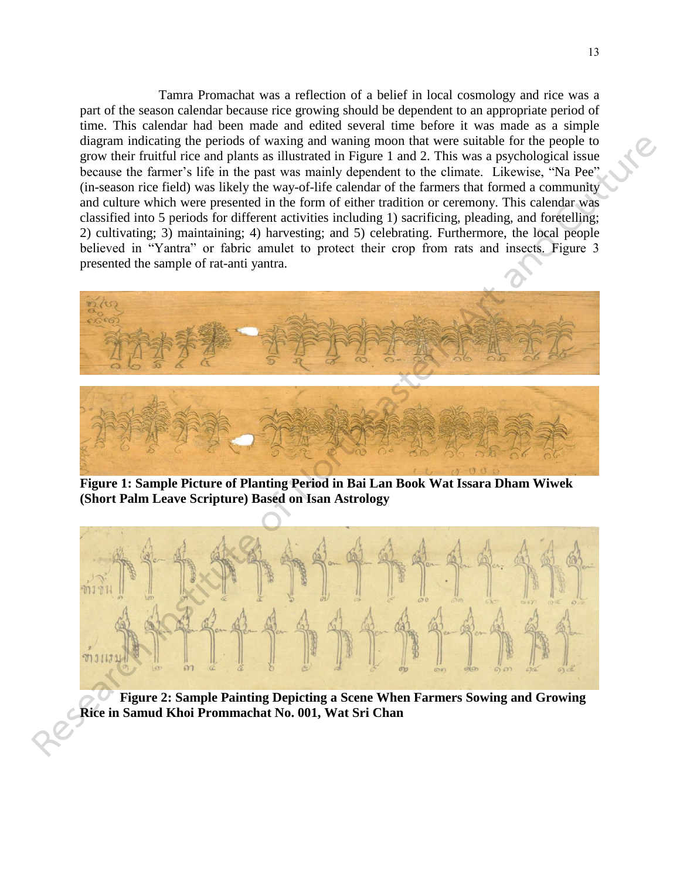Tamra Promachat was a reflection of a belief in local cosmology and rice was a part of the season calendar because rice growing should be dependent to an appropriate period of time. This calendar had been made and edited several time before it was made as a simple diagram indicating the periods of waxing and waning moon that were suitable for the people to grow their fruitful rice and plants as illustrated in Figure 1 and 2. This was a psychological issue because the farmer's life in the past was mainly dependent to the climate. Likewise, "Na Pee" (in-season rice field) was likely the way-of-life calendar of the farmers that formed a community and culture which were presented in the form of either tradition or ceremony. This calendar was classified into 5 periods for different activities including 1) sacrificing, pleading, and foretelling; 2) cultivating; 3) maintaining; 4) harvesting; and 5) celebrating. Furthermore, the local people believed in "Yantra" or fabric amulet to protect their crop from rats and insects. Figure 3 presented the sample of rat-anti yantra.



**Figure 1: Sample Picture of Planting Period in Bai Lan Book Wat Issara Dham Wiwek (Short Palm Leave Scripture) Based on Isan Astrology** 



**Figure 2: Sample Painting Depicting a Scene When Farmers Sowing and Growing Rice in Samud Khoi Prommachat No. 001, Wat Sri Chan**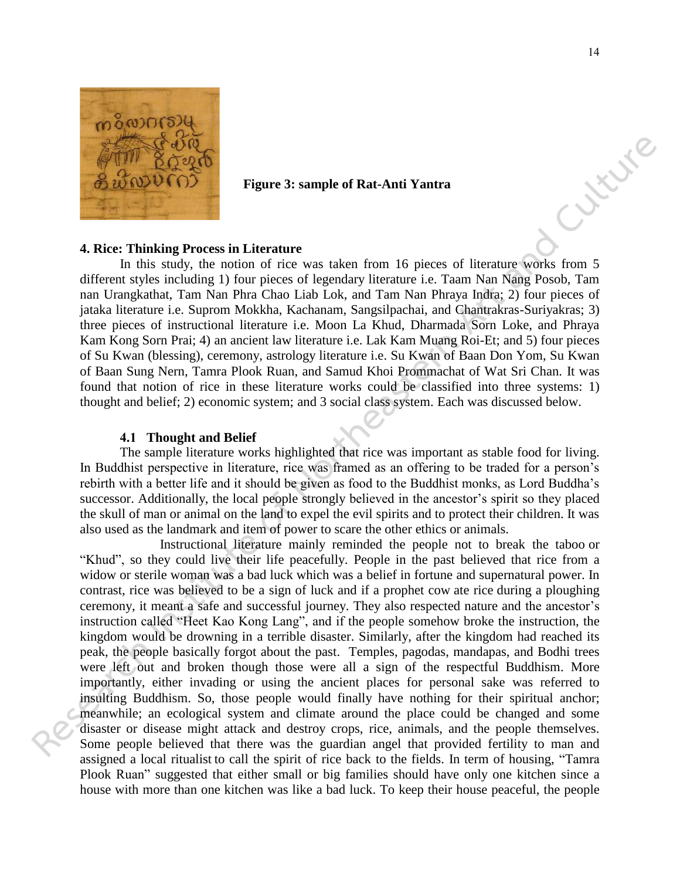

## **Figure 3: sample of Rat-Anti Yantra**

### **4. Rice: Thinking Process in Literature**

In this study, the notion of rice was taken from 16 pieces of literature works from 5 different styles including 1) four pieces of legendary literature i.e. Taam Nan Nang Posob, Tam nan Urangkathat, Tam Nan Phra Chao Liab Lok, and Tam Nan Phraya Indra; 2) four pieces of jataka literature i.e. Suprom Mokkha, Kachanam, Sangsilpachai, and Chantrakras-Suriyakras; 3) three pieces of instructional literature i.e. Moon La Khud, Dharmada Sorn Loke, and Phraya Kam Kong Sorn Prai; 4) an ancient law literature i.e. Lak Kam Muang Roi-Et; and 5) four pieces of Su Kwan (blessing), ceremony, astrology literature i.e. Su Kwan of Baan Don Yom, Su Kwan of Baan Sung Nern, Tamra Plook Ruan, and Samud Khoi Prommachat of Wat Sri Chan. It was found that notion of rice in these literature works could be classified into three systems: 1) thought and belief; 2) economic system; and 3 social class system. Each was discussed below.

#### **4.1 Thought and Belief**

The sample literature works highlighted that rice was important as stable food for living. In Buddhist perspective in literature, rice was framed as an offering to be traded for a person's rebirth with a better life and it should be given as food to the Buddhist monks, as Lord Buddha's successor. Additionally, the local people strongly believed in the ancestor's spirit so they placed the skull of man or animal on the land to expel the evil spirits and to protect their children. It was also used as the landmark and item of power to scare the other ethics or animals.

Instructional literature mainly reminded the people not to break the taboo or "Khud", so they could live their life peacefully. People in the past believed that rice from a widow or sterile woman was a bad luck which was a belief in fortune and supernatural power. In contrast, rice was believed to be a sign of luck and if a prophet cow ate rice during a ploughing ceremony, it meant a safe and successful journey. They also respected nature and the ancestor's instruction called "Heet Kao Kong Lang", and if the people somehow broke the instruction, the kingdom would be drowning in a terrible disaster. Similarly, after the kingdom had reached its peak, the people basically forgot about the past. Temples, pagodas, mandapas, and Bodhi trees were left out and broken though those were all a sign of the respectful Buddhism. More importantly, either invading or using the ancient places for personal sake was referred to insulting Buddhism. So, those people would finally have nothing for their spiritual anchor; meanwhile; an ecological system and climate around the place could be changed and some disaster or disease might attack and destroy crops, rice, animals, and the people themselves. Some people believed that there was the guardian angel that provided fertility to man and assigned a local ritualist to call the spirit of rice back to the fields. In term of housing, "Tamra Plook Ruan" suggested that either small or big families should have only one kitchen since a house with more than one kitchen was like a bad luck. To keep their house peaceful, the people **Research Art and Culture Constrained Research II** a simple of Rat-Anti Vantra<br> **Research Institute of Northeast Constrainer Research Institute of Northeast Constrainer Scheme Constrainer and Culture (Northeast Cultur**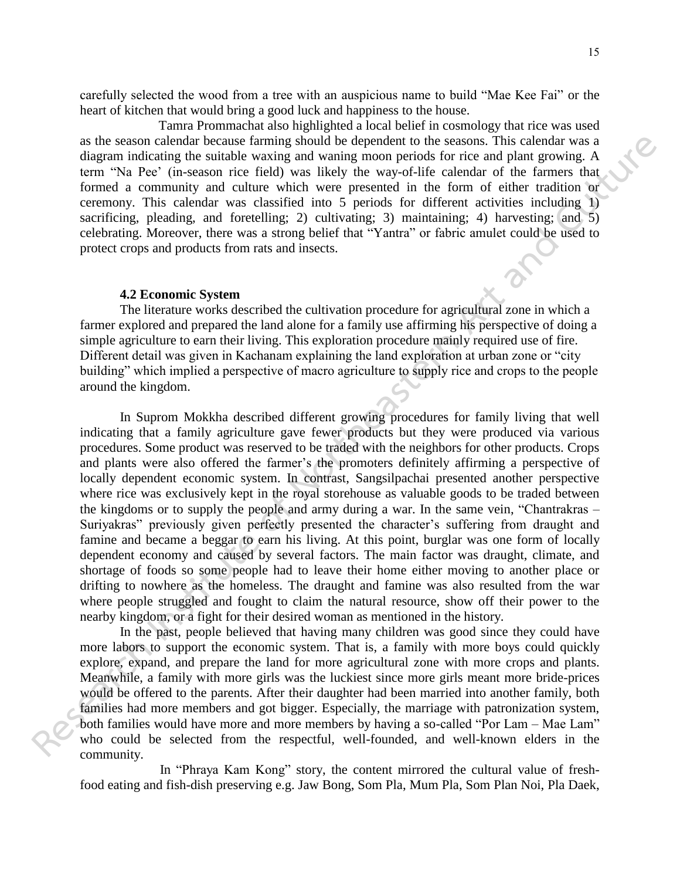carefully selected the wood from a tree with an auspicious name to build "Mae Kee Fai" or the heart of kitchen that would bring a good luck and happiness to the house.

Tamra Prommachat also highlighted a local belief in cosmology that rice was used as the season calendar because farming should be dependent to the seasons. This calendar was a diagram indicating the suitable waxing and waning moon periods for rice and plant growing. A term "Na Pee' (in-season rice field) was likely the way-of-life calendar of the farmers that formed a community and culture which were presented in the form of either tradition or ceremony. This calendar was classified into 5 periods for different activities including 1) sacrificing, pleading, and foretelling; 2) cultivating; 3) maintaining; 4) harvesting; and 5) celebrating. Moreover, there was a strong belief that "Yantra" or fabric amulet could be used to protect crops and products from rats and insects.

#### **4.2 Economic System**

The literature works described the cultivation procedure for agricultural zone in which a farmer explored and prepared the land alone for a family use affirming his perspective of doing a simple agriculture to earn their living. This exploration procedure mainly required use of fire. Different detail was given in Kachanam explaining the land exploration at urban zone or "city building" which implied a perspective of macro agriculture to supply rice and crops to the people around the kingdom.

In Suprom Mokkha described different growing procedures for family living that well indicating that a family agriculture gave fewer products but they were produced via various procedures. Some product was reserved to be traded with the neighbors for other products. Crops and plants were also offered the farmer's the promoters definitely affirming a perspective of locally dependent economic system. In contrast, Sangsilpachai presented another perspective where rice was exclusively kept in the royal storehouse as valuable goods to be traded between the kingdoms or to supply the people and army during a war. In the same vein, "Chantrakras – Suriyakras" previously given perfectly presented the character's suffering from draught and famine and became a beggar to earn his living. At this point, burglar was one form of locally dependent economy and caused by several factors. The main factor was draught, climate, and shortage of foods so some people had to leave their home either moving to another place or drifting to nowhere as the homeless. The draught and famine was also resulted from the war where people struggled and fought to claim the natural resource, show off their power to the nearby kingdom, or a fight for their desired woman as mentioned in the history. as the season cultural because farming should be dependent to the seasons. This cultural was a discussion in Scheme Scheme Northern Scheme The mass of the case (file valid are the season rice field) was likely the way-of-f

In the past, people believed that having many children was good since they could have more labors to support the economic system. That is, a family with more boys could quickly explore, expand, and prepare the land for more agricultural zone with more crops and plants. Meanwhile, a family with more girls was the luckiest since more girls meant more bride-prices would be offered to the parents. After their daughter had been married into another family, both families had more members and got bigger. Especially, the marriage with patronization system, both families would have more and more members by having a so-called "Por Lam – Mae Lam" who could be selected from the respectful, well-founded, and well-known elders in the community.

In "Phraya Kam Kong" story, the content mirrored the cultural value of freshfood eating and fish-dish preserving e.g. Jaw Bong, Som Pla, Mum Pla, Som Plan Noi, Pla Daek,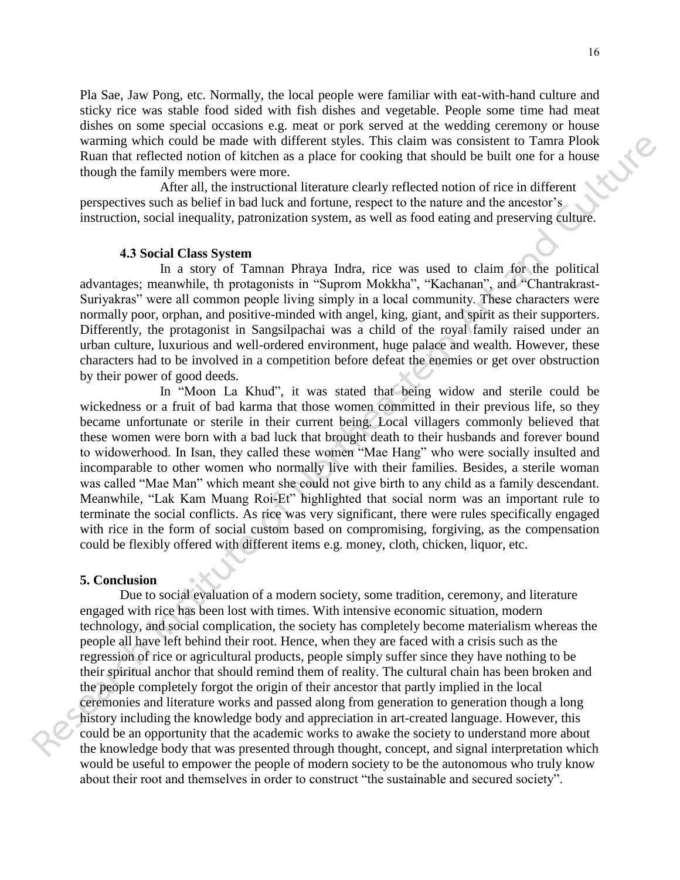Pla Sae, Jaw Pong, etc. Normally, the local people were familiar with eat-with-hand culture and sticky rice was stable food sided with fish dishes and vegetable. People some time had meat dishes on some special occasions e.g. meat or pork served at the wedding ceremony or house warming which could be made with different styles. This claim was consistent to Tamra Plook Ruan that reflected notion of kitchen as a place for cooking that should be built one for a house though the family members were more.

 After all, the instructional literature clearly reflected notion of rice in different perspectives such as belief in bad luck and fortune, respect to the nature and the ancestor's instruction, social inequality, patronization system, as well as food eating and preserving culture.

## **4.3 Social Class System**

In a story of Tamnan Phraya Indra, rice was used to claim for the political advantages; meanwhile, th protagonists in "Suprom Mokkha", "Kachanan", and "Chantrakrast-Suriyakras" were all common people living simply in a local community. These characters were normally poor, orphan, and positive-minded with angel, king, giant, and spirit as their supporters. Differently, the protagonist in Sangsilpachai was a child of the royal family raised under an urban culture, luxurious and well-ordered environment, huge palace and wealth. However, these characters had to be involved in a competition before defeat the enemies or get over obstruction by their power of good deeds.

In "Moon La Khud", it was stated that being widow and sterile could be wickedness or a fruit of bad karma that those women committed in their previous life, so they became unfortunate or sterile in their current being. Local villagers commonly believed that these women were born with a bad luck that brought death to their husbands and forever bound to widowerhood. In Isan, they called these women "Mae Hang" who were socially insulted and incomparable to other women who normally live with their families. Besides, a sterile woman was called "Mae Man" which meant she could not give birth to any child as a family descendant. Meanwhile, "Lak Kam Muang Roi-Et" highlighted that social norm was an important rule to terminate the social conflicts. As rice was very significant, there were rules specifically engaged with rice in the form of social custom based on compromising, forgiving, as the compensation could be flexibly offered with different items e.g. money, cloth, chicken, liquor, etc.

#### **5. Conclusion**

 Due to social evaluation of a modern society, some tradition, ceremony, and literature engaged with rice has been lost with times. With intensive economic situation, modern technology, and social complication, the society has completely become materialism whereas the people all have left behind their root. Hence, when they are faced with a crisis such as the regression of rice or agricultural products, people simply suffer since they have nothing to be their spiritual anchor that should remind them of reality. The cultural chain has been broken and the people completely forgot the origin of their ancestor that partly implied in the local ceremonies and literature works and passed along from generation to generation though a long history including the knowledge body and appreciation in art-created language. However, this could be an opportunity that the academic works to awake the society to understand more about the knowledge body that was presented through thought, concept, and signal interpretation which would be useful to empower the people of modern society to be the autonomous who truly know about their root and themselves in order to construct "the sustainable and secured society". wurming which could be made with different styles. This claim was consistent to Tama Photosh and the formal photosh and the formal photosh and the formal photosh and the formal photosh and the formal photosh and culture of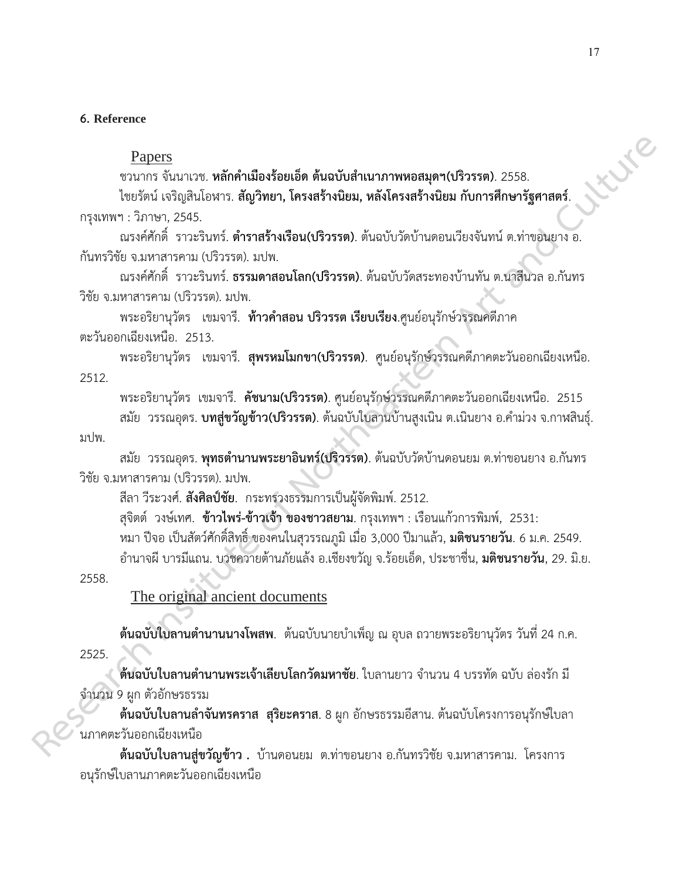# **6. Reference**

# Papers

ชวนากร จันนาเวช. **หลักค ำเมืองร้อยเอ็ด ต้นฉบับส ำเนำภำพหอสมุดฯ(ปริวรรต)**. 2558.

ไชยรัตน์ เจริญสินโอฬาร. **สัญวิทยำ, โครงสร้ำงนิยม, หลังโครงสร้ำงนิยม กับกำรศึกษำรัฐศำสตร์**. กรุงเทพฯ : วิภาษา, 2545.

ณรงค์ศักดิ์ ราวะรินทร์. **ต ำรำสร้ำงเรือน(ปริวรรต)**. ต้นฉบับวัดบ้านดอนเวียงจันทน์ ต.ท่าขอนยาง อ. กันทรวิชัย จ.มหาสารคาม (ปริวรรต). มปพ.

ณรงค์ศักดิ์ ราวะรินทร์. **ธรรมดำสอนโลก(ปริวรรต)**. ต้นฉบับวัดสระทองบ้านทัน ต.นาสีนวล อ.กันทร วิชัย จ.มหาสารคาม (ปริวรรต). มปพ.

พระอริยานุวัตร เขมจารี. **ท้าวคำสอน ปริวรรต เรียบเรียง**.ศูนย์อนุรักษ์วรรณคดีภาค ตะวันออกเฉียงเหนือ. 2513.

พระอริยานุวัตร เขมจารี. **สุพรหมโมกขำ(ปริวรรต)**. ศูนย์อนุรักษ์วรรณคดีภาคตะวันออกเฉียงเหนือ. 2512.

พระอริยานุวัตร เขมจารี. **คัชนำม(ปริวรรต)**. ศูนย์อนุรักษ์วรรณคดีภาคตะวันออกเฉียงเหนือ. 2515 สมัย วรรณอุดร. **บทสู่ขวัญข้าว(ปริวรรต)**. ต้นฉบับใบลานบ้านสูงเนิน ต.เนินยาง อ.คำม่วง จ.กาฬสินธุ์. มปพ. **Papers**<br> **Research Constitute of Northeastern Art and Culture of Northeastern 2015.**<br> **Research Constitute of Northeastern Art and Constitute of Northeastern Art and Culture of Northeastern Art and<br>
<b>Research Constitute o** 

สมัย วรรณอุดร. **พุทธตำนานพระยาอินทร์(ปริวรรต)**. ต้นฉบับวัดบ้านดอนยม ต.ท่าขอนยาง อ.กันทร วิชัย จ.มหาสารคาม (ปริวรรต). มปพ.

สีลา วีระวงศ์. **สังศิลป์ชัย**. กระทรวงธรรมการเป็นผู้จัดพิมพ์. 2512.

สุจิตต์ วงษ์เทศ. **ข้ำวไพร่-ข้ำวเจ้ำ ของชำวสยำม**. กรุงเทพฯ : เรือนแก้วการพิมพ์, 2531:

หมา ปีจอ เป็นสัตว์ศักดิ์สิทธิ์ ของคนในสุวรรณภูมิ เมื่อ 3,000 ปีมาแล้ว, **มติชนรำยวัน**. 6 ม.ค. 2549.

อ านาจผี บารมีแถน. บวชควายต้านภัยแล้ง อ.เชียงขวัญ จ.ร้อยเอ็ด, ประชาชื่น, **มติชนรำยวัน**, 29. มิ.ย.

2558.

The original ancient documents

**ต้นฉบับใบลานตำนานนางโพสพ**. ต้นฉบับนายบำเพ็ญ ณ อุบล ถวายพระอริยานุวัตร วันที่ 24 ก.ค. 2525.

**ต้นฉบับใบลานตำนานพระเจ้าเลียบโลกวัดมหาชัย**. ใบลานยาว จำนวน 4 บรรทัด ฉบับ ล่องรัก มี จำนวน 9 ผูก ตัวอักษรธรรม

**ต้นฉบับใบลานลำจันทรคราส สุริยะคราส**. 8 ผูก อักษรธรรมอีสาน. ต้นฉบับโครงการอนุรักษ์ใบลา นภาคตะวันออกเฉียงเหนือ

**ต้นฉบับใบลำนสู่ขวัญข้ำว .** บ้านดอนยม ต.ท่าขอนยาง อ.กันทรวิชัย จ.มหาสารคาม. โครงการ อนุรักษ์ใบลานภาคตะวันออกเฉียงเหนือ